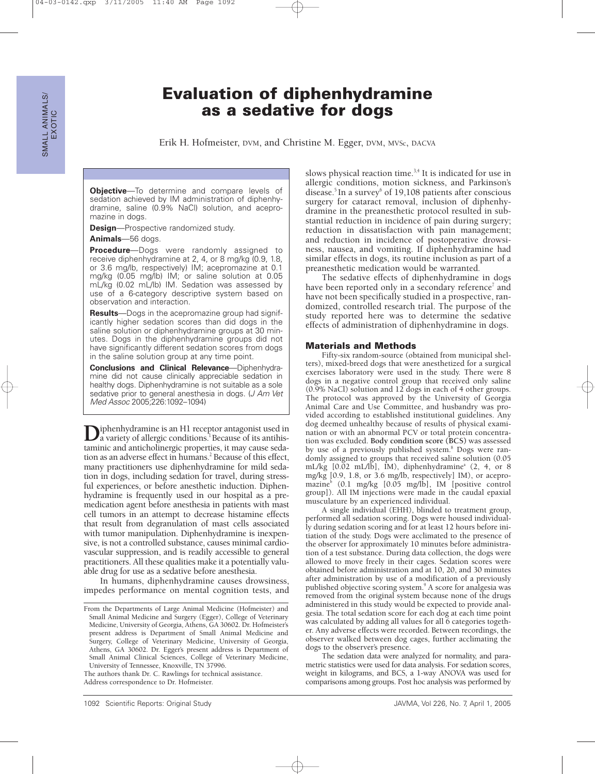# **Evaluation of diphenhydramine as a sedative for dogs**

Erik H. Hofmeister, DVM, and Christine M. Egger, DVM, MVSc, DACVA

**Objective**—To determine and compare levels of sedation achieved by IM administration of diphenhydramine, saline (0.9% NaCl) solution, and acepromazine in dogs.

**Design**—Prospective randomized study.

**Animals**—56 dogs.

**Procedure**—Dogs were randomly assigned to receive diphenhydramine at 2, 4, or 8 mg/kg (0.9, 1.8, or 3.6 mg/lb, respectively) IM; acepromazine at 0.1 mg/kg (0.05 mg/lb) IM; or saline solution at 0.05 mL/kg (0.02 mL/lb) IM. Sedation was assessed by use of a 6-category descriptive system based on observation and interaction.

**Results**—Dogs in the acepromazine group had significantly higher sedation scores than did dogs in the saline solution or diphenhydramine groups at 30 minutes. Dogs in the diphenhydramine groups did not have significantly different sedation scores from dogs in the saline solution group at any time point.

**Conclusions and Clinical Relevance**—Diphenhydramine did not cause clinically appreciable sedation in healthy dogs. Diphenhydramine is not suitable as a sole sedative prior to general anesthesia in dogs. (*J Am Vet* Med Assoc 2005;226:1092–1094)

**D**iphenhydramine is an H1 receptor antagonist used in a variety of allergic conditions.<sup>1</sup> Because of its antihistaminic and anticholinergic properties, it may cause sedation as an adverse effect in humans.<sup>2</sup> Because of this effect, many practitioners use diphenhydramine for mild sedation in dogs, including sedation for travel, during stressful experiences, or before anesthetic induction. Diphenhydramine is frequently used in our hospital as a premedication agent before anesthesia in patients with mast cell tumors in an attempt to decrease histamine effects that result from degranulation of mast cells associated with tumor manipulation. Diphenhydramine is inexpensive, is not a controlled substance, causes minimal cardiovascular suppression, and is readily accessible to general practitioners. All these qualities make it a potentially valuable drug for use as a sedative before anesthesia.

In humans, diphenhydramine causes drowsiness, impedes performance on mental cognition tests, and

The authors thank Dr. C. Rawlings for technical assistance. Address correspondence to Dr. Hofmeister.

slows physical reaction time.<sup>3,4</sup> It is indicated for use in allergic conditions, motion sickness, and Parkinson's disease.<sup>5</sup> In a survey $6$  of 19,108 patients after conscious surgery for cataract removal, inclusion of diphenhydramine in the preanesthetic protocol resulted in substantial reduction in incidence of pain during surgery; reduction in dissatisfaction with pain management; and reduction in incidence of postoperative drowsiness, nausea, and vomiting. If diphenhydramine had similar effects in dogs, its routine inclusion as part of a preanesthetic medication would be warranted*.*

The sedative effects of diphenhydramine in dogs have been reported only in a secondary reference<sup>7</sup> and have not been specifically studied in a prospective, randomized, controlled research trial. The purpose of the study reported here was to determine the sedative effects of administration of diphenhydramine in dogs.

#### **Materials and Methods**

Fifty-six random-source (obtained from municipal shelters), mixed-breed dogs that were anesthetized for a surgical exercises laboratory were used in the study. There were 8 dogs in a negative control group that received only saline (0.9% NaCl) solution and 12 dogs in each of 4 other groups. The protocol was approved by the University of Georgia Animal Care and Use Committee, and husbandry was provided according to established institutional guidelines. Any dog deemed unhealthy because of results of physical examination or with an abnormal PCV or total protein concentration was excluded. **Body condition score (BCS)** was assessed by use of a previously published system.<sup>8</sup> Dogs were randomly assigned to groups that received saline solution (0.05 mL/kg  $[0.02 \text{ mL/lb}]$ , IM), diphenhydramine<sup>a</sup>  $(2, 4, \text{ or } 8)$ mg/kg [0.9, 1.8, or 3.6 mg/lb, respectively] IM), or acepromazineb (0.1 mg/kg [0.05 mg/lb], IM [positive control group]). All IM injections were made in the caudal epaxial musculature by an experienced individual.

A single individual (EHH), blinded to treatment group, performed all sedation scoring. Dogs were housed individually during sedation scoring and for at least 12 hours before initiation of the study. Dogs were acclimated to the presence of the observer for approximately 10 minutes before administration of a test substance. During data collection, the dogs were allowed to move freely in their cages. Sedation scores were obtained before administration and at 10, 20, and 30 minutes after administration by use of a modification of a previously published objective scoring system.<sup>9</sup> A score for analgesia was removed from the original system because none of the drugs administered in this study would be expected to provide analgesia. The total sedation score for each dog at each time point was calculated by adding all values for all 6 categories together. Any adverse effects were recorded. Between recordings, the observer walked between dog cages, further acclimating the dogs to the observer's presence.

The sedation data were analyzed for normality, and parametric statistics were used for data analysis. For sedation scores, weight in kilograms, and BCS, a 1-way ANOVA was used for comparisons among groups. Post hoc analysis was performed by

From the Departments of Large Animal Medicine (Hofmeister) and Small Animal Medicine and Surgery (Egger), College of Veterinary Medicine, University of Georgia, Athens, GA 30602. Dr. Hofmeister's present address is Department of Small Animal Medicine and Surgery, College of Veterinary Medicine, University of Georgia, Athens, GA 30602. Dr. Egger's present address is Department of Small Animal Clinical Sciences, College of Veterinary Medicine, University of Tennessee, Knoxville, TN 37996.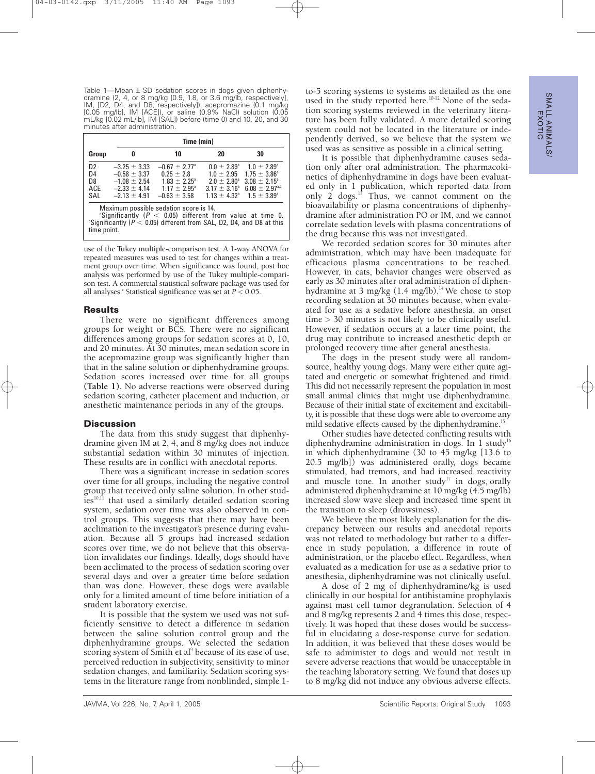Table 1—Mean ± SD sedation scores in dogs given diphenhy-dramine (2, 4, or 8 mg/kg [0.9, 1.8, or 3.6 mg/lb, respectively], IM, [D2, D4, and D8, respectively]), acepromazine (0.1 mg/kg [0.05 mg/lb], IM [ACE]), or saline (0.9% NaCl) solution (0.05 mL/kg [0.02 mL/lb], IM [SAL]) before (time 0) and 10, 20, and 30 minutes after administration.

|                                                                                                                                                                                                                        |                                                                                                  | Time (min)                                                                                                          |                                                                                                                         |                                                                                                                                        |  |
|------------------------------------------------------------------------------------------------------------------------------------------------------------------------------------------------------------------------|--------------------------------------------------------------------------------------------------|---------------------------------------------------------------------------------------------------------------------|-------------------------------------------------------------------------------------------------------------------------|----------------------------------------------------------------------------------------------------------------------------------------|--|
| Group                                                                                                                                                                                                                  | 0                                                                                                | 10                                                                                                                  | 20                                                                                                                      | 30                                                                                                                                     |  |
| D <sub>2</sub><br>D4<br>D <sub>8</sub><br>ACE<br>SAL                                                                                                                                                                   | $-3.25 \pm 3.33$<br>$-0.58 \pm 3.37$<br>$-1.08 \pm 2.54$<br>$-2.33 \pm 4.14$<br>$-2.13 \pm 4.91$ | $-0.67 + 2.77$ <sup>a</sup><br>$0.25 + 2.8$<br>$1.83 \pm 2.25^{\circ}$<br>$1.17 + 2.95^{\circ}$<br>$-0.63 \pm 3.58$ | $0.0 + 2.89^{\circ}$<br>$1.0 + 2.95$<br>$2.0 \pm 2.80^{\circ}$<br>$3.17 \pm 3.16^{\circ}$<br>$1.13 + 4.32$ <sup>a</sup> | $1.0 \pm 2.89^{\circ}$<br>$1.75 \pm 3.86^{\circ}$<br>$3.08 \pm 2.15^{\circ}$<br>$6.08 \pm 2.97^{\text{a,b}}$<br>$1.5 \pm 3.89^{\circ}$ |  |
| Maximum possible sedation score is 14.<br><sup>a</sup> Significantly ( $P < 0.05$ ) different from value at time 0.<br>$\mathrm{P}$ Significantly (P < 0.05) different from SAL, D2, D4, and D8 at this<br>time point. |                                                                                                  |                                                                                                                     |                                                                                                                         |                                                                                                                                        |  |

use of the Tukey multiple-comparison test. A 1-way ANOVA for repeated measures was used to test for changes within a treatment group over time. When significance was found, post hoc analysis was performed by use of the Tukey multiple-comparison test. A commercial statistical software package was used for all analyses.<sup>c</sup> Statistical significance was set at  $P < 0.05$ .

### **Results**

There were no significant differences among groups for weight or BCS. There were no significant differences among groups for sedation scores at 0, 10, and 20 minutes. At 30 minutes, mean sedation score in the acepromazine group was significantly higher than that in the saline solution or diphenhydramine groups. Sedation scores increased over time for all groups **(Table 1)**. No adverse reactions were observed during sedation scoring, catheter placement and induction, or anesthetic maintenance periods in any of the groups.

## **Discussion**

The data from this study suggest that diphenhydramine given IM at 2, 4, and 8 mg/kg does not induce substantial sedation within 30 minutes of injection. These results are in conflict with anecdotal reports.

There was a significant increase in sedation scores over time for all groups, including the negative control group that received only saline solution. In other studies<sup>10,11</sup> that used a similarly detailed sedation scoring system, sedation over time was also observed in control groups. This suggests that there may have been acclimation to the investigator's presence during evaluation. Because all 5 groups had increased sedation scores over time, we do not believe that this observation invalidates our findings. Ideally, dogs should have been acclimated to the process of sedation scoring over several days and over a greater time before sedation than was done. However, these dogs were available only for a limited amount of time before initiation of a student laboratory exercise.

It is possible that the system we used was not sufficiently sensitive to detect a difference in sedation between the saline solution control group and the diphenhydramine groups. We selected the sedation scoring system of Smith et al<sup>9</sup> because of its ease of use, perceived reduction in subjectivity, sensitivity to minor sedation changes, and familiarity. Sedation scoring systems in the literature range from nonblinded, simple 1to-5 scoring systems to systems as detailed as the one used in the study reported here.<sup>10-12</sup> None of the sedation scoring systems reviewed in the veterinary literature has been fully validated. A more detailed scoring system could not be located in the literature or independently derived, so we believe that the system we used was as sensitive as possible in a clinical setting.

It is possible that diphenhydramine causes sedation only after oral administration. The pharmacokinetics of diphenhydramine in dogs have been evaluated only in 1 publication, which reported data from only 2 dogs.<sup>13</sup> Thus, we cannot comment on the bioavailability or plasma concentrations of diphenhydramine after administration PO or IM, and we cannot correlate sedation levels with plasma concentrations of the drug because this was not investigated.

We recorded sedation scores for 30 minutes after administration, which may have been inadequate for efficacious plasma concentrations to be reached. However, in cats, behavior changes were observed as early as 30 minutes after oral administration of diphenhydramine at 3 mg/kg (1.4 mg/lb).<sup>14</sup> We chose to stop recording sedation at 30 minutes because, when evaluated for use as a sedative before anesthesia, an onset time > 30 minutes is not likely to be clinically useful. However, if sedation occurs at a later time point, the drug may contribute to increased anesthetic depth or prolonged recovery time after general anesthesia.

The dogs in the present study were all randomsource, healthy young dogs. Many were either quite agitated and energetic or somewhat frightened and timid. This did not necessarily represent the population in most small animal clinics that might use diphenhydramine. Because of their initial state of excitement and excitability, it is possible that these dogs were able to overcome any mild sedative effects caused by the diphenhydramine.<sup>15</sup>

Other studies have detected conflicting results with diphenhydramine administration in dogs. In 1 study<sup>16</sup> in which diphenhydramine (30 to 45 mg/kg [13.6 to 20.5 mg/lb]) was administered orally, dogs became stimulated, had tremors, and had increased reactivity and muscle tone. In another study<sup>17</sup> in dogs, orally administered diphenhydramine at 10 mg/kg (4.5 mg/lb) increased slow wave sleep and increased time spent in the transition to sleep (drowsiness).

We believe the most likely explanation for the discrepancy between our results and anecdotal reports was not related to methodology but rather to a difference in study population, a difference in route of administration, or the placebo effect. Regardless, when evaluated as a medication for use as a sedative prior to anesthesia, diphenhydramine was not clinically useful.

A dose of 2 mg of diphenhydramine/kg is used clinically in our hospital for antihistamine prophylaxis against mast cell tumor degranulation. Selection of 4 and 8 mg/kg represents 2 and 4 times this dose, respectively. It was hoped that these doses would be successful in elucidating a dose-response curve for sedation. In addition, it was believed that these doses would be safe to administer to dogs and would not result in severe adverse reactions that would be unacceptable in the teaching laboratory setting. We found that doses up to 8 mg/kg did not induce any obvious adverse effects.